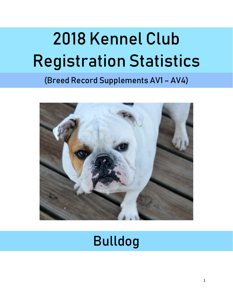# 2018 Kennel Club Registration Statistics

# (Breed Record Supplements AV1 – AV4)



# Bulldog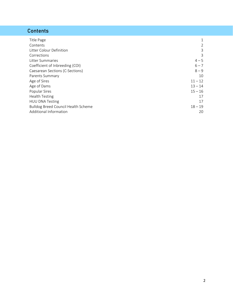# **Contents**

| Title Page                                 |           |
|--------------------------------------------|-----------|
|                                            | 1         |
| Contents                                   | 2         |
| Litter Colour Definition                   | 3         |
| Corrections                                | 3         |
| Litter Summaries                           | $4 - 5$   |
| Coefficient of Inbreeding (COI)            | $6 - 7$   |
| Caesarean Sections (C-Sections)            | $8 - 9$   |
| Parents Summary                            | 10        |
| Age of Sires                               | $11 - 12$ |
| Age of Dams                                | $13 - 14$ |
| Popular Sires                              | $15 - 16$ |
| <b>Health Testing</b>                      | 17        |
| <b>HUU DNA Testing</b>                     | 17        |
| <b>Bulldog Breed Council Health Scheme</b> | $18 - 19$ |
| Additional Information                     | 20        |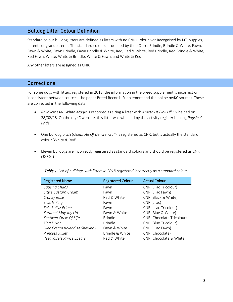#### Bulldog Litter Colour Definition

Standard colour bulldog litters are defined as litters with no CNR (Colour Not Recognised by KC) puppies, parents or grandparents. The standard colours as defined by the KC are: Brindle, Brindle & White, Fawn, Fawn & White, Fawn Brindle, Fawn Brindle & White, Red, Red & White, Red Brindle, Red Brindle & White, Red Fawn, White, White & Brindle, White & Fawn, and White & Red.

Any other litters are assigned as CNR.

#### **Corrections**

For some dogs with litters registered in 2018, the information in the breed supplement is incorrect or inconsistent between sources (the paper Breed Records Supplement and the online myKC source). These are corrected in the following data.

- *Rhydycroesau White Magic* is recorded as siring a litter with *Amethyst Pink Lilly*, whelped on 28/02/18. On the myKC website, this litter was whelped by the activity register bulldog *Pugslea's Pride*.
- One bulldog bitch (*Celebrate Of Denwer-Bull*) is registered as CNR, but is actually the standard colour 'White & Red'.
- Eleven bulldogs are incorrectly registered as standard colours and should be registered as CNR (*Table 1*).

| <b>Registered Name</b>         | <b>Registered Colour</b> | <b>Actual Colour</b>      |
|--------------------------------|--------------------------|---------------------------|
| Causing Chaos                  | Fawn                     | CNR (Lilac Tricolour)     |
| City's Custard Cream           | Fawn                     | CNR (Lilac Fawn)          |
| Cranky Ruse                    | Red & White              | CNR (Black & White)       |
| Elvis Is King                  | Fawn                     | CNR (Lilac)               |
| Epic Bullyz Prime              | Fawn                     | CNR (Lilac Tricolour)     |
| Karamel May Joy UA             | Fawn & White             | CNR (Blue & White)        |
| Kentixen Circle Of Life        | <b>Brindle</b>           | CNR (Chocolate Tricolour) |
| King Luxor                     | <b>Brindle</b>           | CNR (Blue Tricolour)      |
| Lilac Cream Roland At Shawhall | Fawn & White             | CNR (Lilac Fawn)          |
| Princess Julliet               | Brindle & White          | CNR (Chocolate)           |
| Rezavoire's Prince Spears      | Red & White              | CNR (Chocolate & White)   |

*Table 1. List of bulldogs with litters in 2018 registered incorrectly as a standard colour.*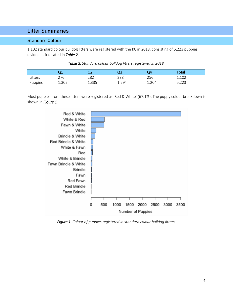#### Litter Summaries

#### Standard Colour

1,102 standard colour bulldog litters were registered with the KC in 2018, consisting of 5,223 puppies, divided as indicated in *Table 2*.

| Table 2. Standard colour bulldog litters registered in 2018. |
|--------------------------------------------------------------|
|--------------------------------------------------------------|

|         | . .<br>-- | נר    | ົ    | )4    | Total              |
|---------|-----------|-------|------|-------|--------------------|
| Litters | 276       | 282   | 288  | 256   | 1,102              |
| Puppies | 1,302     | 1,335 | 294ء | 1,204 | E つつつ<br>ں ے ے ر ب |

Most puppies from these litters were registered as 'Red & White' (67.1%). The puppy colour breakdown is shown in *Figure 1*.



*Figure 1. Colour of puppies registered in standard colour bulldog litters.*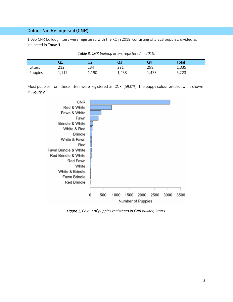1,035 CNR bulldog litters were registered with the KC in 2018, consisting of 5,223 puppies, divided as indicated in *Table 3*.

|         | $-$              | רר<br>∽ | ~~<br>ىب | 14                    | Total            |  |
|---------|------------------|---------|----------|-----------------------|------------------|--|
| Litters | $\bigcap$        | 234     | วด1      | 298                   | 1,035            |  |
| Puppies | $-117$<br>⊥,⊥⊥ / | 1,190   | 1,438    | .478<br><u>. на с</u> | ר מח<br>ں ے بر ر |  |

*Table 3. CNR bulldog litters registered in 2018.*

Most puppies from these litters were registered as 'CNR' (59.0%). The puppy colour breakdown is shown in *Figure 2*.



*Figure 2. Colour of puppies registered in CNR bulldog litters.*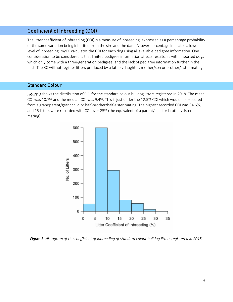#### Coefficient of Inbreeding (COI)

The litter coefficient of inbreeding (COI) is a measure of inbreeding, expressed as a percentage probability of the same variation being inherited from the sire and the dam. A lower percentage indicates a lower level of inbreeding. myKC calculates the COI for each dog using all available pedigree information. One consideration to be considered is that limited pedigree information affects results, as with imported dogs which only come with a three-generation pedigree, and the lack of pedigree information further in the past. The KC will not register litters produced by a father/daughter, mother/son or brother/sister mating.

#### Standard Colour

*Figure 3* shows the distribution of COI for the standard colour bulldog litters registered in 2018. The mean COI was 10.7% and the median COI was 9.4%. This is just under the 12.5% COI which would be expected from a grandparent/grandchild or half-brother/half-sister mating. The highest recorded COI was 34.6%, and 15 litters were recorded with COI over 25% (the equivalent of a parent/child or brother/sister mating).



*Figure 3. Histogram of the coefficient of inbreeding of standard colour bulldog litters registered in 2018.*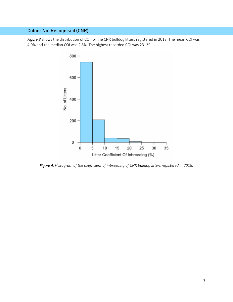*Figure 3* shows the distribution of COI for the CNR bulldog litters registered in 2018. The mean COI was 4.0% and the median COI was 2.8%. The highest recorded COI was 23.1%.



*Figure 4. Histogram of the coefficient of inbreeding of CNR bulldog litters registered in 2018.*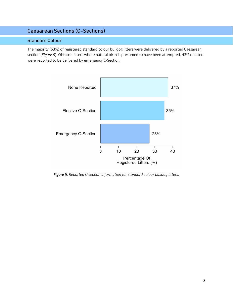#### Caesarean Sections (C-Sections)

#### Standard Colour

The majority (63%) of registered standard colour bulldog litters were delivered by a reported Caesarean section (*Figure 5*). Of those litters where natural birth is presumed to have been attempted, 43% of litters were reported to be delivered by emergency C-Section.



*Figure 5. Reported C-section information for standard colour bulldog litters.*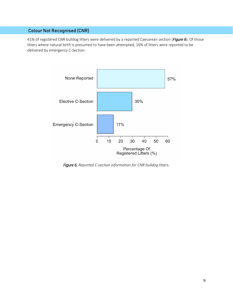41% of registered CNR bulldog litters were delivered by a reported Caesarean section (*Figure 6*). Of those litters where natural birth is presumed to have been attempted, 16% of litters were reported to be delivered by emergency C-Section.



*Figure 6. Reported C-section information for CNR bulldog litters.*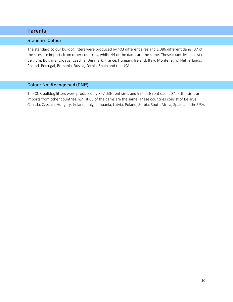#### Parents

#### Standard Colour

The standard colour bulldog litters were produced by 403 different sires and 1,086 different dams. 37 of the sires are imports from other countries, whilst 44 of the dams are the same. These countries consist of Belgium, Bulgaria, Croatia, Czechia, Denmark, France, Hungary, Ireland, Italy, Montenegro, Netherlands, Poland, Portugal, Romania, Russia, Serbia, Spain and the USA.

#### Colour Not Recognised (CNR)

The CNR bulldog litters were produced by 357 different sires and 996 different dams. 34 of the sires are imports from other countries, whilst 63 of the dams are the same. These countries consist of Belarus, Canada, Czechia, Hungary, Ireland, Italy, Lithuania, Latvia, Poland, Serbia, South Africa, Spain and the USA.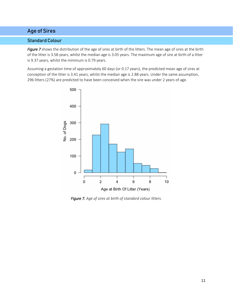#### Age of Sires

#### Standard Colour

*Figure 7* shows the distribution of the age of sires at birth of the litters. The mean age of sires at the birth of the litter is 3.58 years, whilst the median age is 3.05 years. The maximum age of sire at birth of a litter is 9.37 years, whilst the minimum is 0.79 years.

Assuming a gestation time of approximately 60 days (or 0.17 years), the predicted mean age of sires at conception of the litter is 3.41 years, whilst the median age is 2.88 years. Under the same assumption, 296 litters (27%) are predicted to have been conceived when the sire was under 2 years of age.



*Figure 7. Age of sires at birth of standard colour litters.*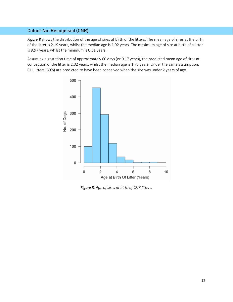*Figure 8* shows the distribution of the age of sires at birth of the litters. The mean age of sires at the birth of the litter is 2.19 years, whilst the median age is 1.92 years. The maximum age of sire at birth of a litter is 9.97 years, whilst the minimum is 0.51 years.

Assuming a gestation time of approximately 60 days (or 0.17 years), the predicted mean age of sires at conception of the litter is 2.02 years, whilst the median age is 1.75 years. Under the same assumption, 611 litters (59%) are predicted to have been conceived when the sire was under 2 years of age.



*Figure 8. Age of sires at birth of CNR litters.*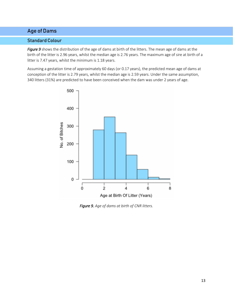#### Age of Dams

#### Standard Colour

*Figure 9* shows the distribution of the age of dams at birth of the litters. The mean age of dams at the birth of the litter is 2.96 years, whilst the median age is 2.76 years. The maximum age of sire at birth of a litter is 7.47 years, whilst the minimum is 1.18 years.

Assuming a gestation time of approximately 60 days (or 0.17 years), the predicted mean age of dams at conception of the litter is 2.79 years, whilst the median age is 2.59 years. Under the same assumption, 340 litters (31%) are predicted to have been conceived when the dam was under 2 years of age.



*Figure 9. Age of dams at birth of CNR litters.*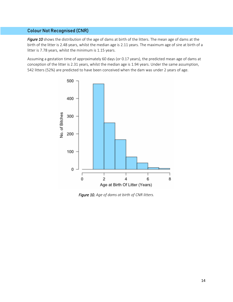*Figure 10* shows the distribution of the age of dams at birth of the litters. The mean age of dams at the birth of the litter is 2.48 years, whilst the median age is 2.11 years. The maximum age of sire at birth of a litter is 7.78 years, whilst the minimum is 1.15 years.

Assuming a gestation time of approximately 60 days (or 0.17 years), the predicted mean age of dams at conception of the litter is 2.31 years, whilst the median age is 1.94 years. Under the same assumption, 542 litters (52%) are predicted to have been conceived when the dam was under 2 years of age.



*Figure 10. Age of dams at birth of CNR litters.*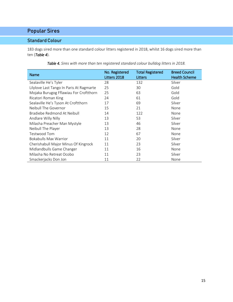## Popular Sires

#### Standard Colour

183 dogs sired more than one standard colour litters registered in 2018, whilst 16 dogs sired more than ten (*Table 4*).

| Name                                     | No. Registered<br>Litters 2018 | <b>Total Registered</b><br><b>Litters</b> | <b>Breed Council</b><br><b>Health Scheme</b> |
|------------------------------------------|--------------------------------|-------------------------------------------|----------------------------------------------|
| Sealaville He's Tyler                    | 28                             | 132                                       | Silver                                       |
| Lilylove Last Tango In Paris At Ragmarte | 25                             | 30                                        | Gold                                         |
| Mojaka Burugog Fflawiau For Croftthorn   | 25                             | 63                                        | Gold                                         |
| Ricatori Roman King                      | 24                             | 61                                        | Gold                                         |
| Sealaville He's Tyson At Croftthorn      | 17                             | 69                                        | Silver                                       |
| Neibull The Governor                     | 15                             | 21                                        | None                                         |
| Bradiebe Redmond At Neibull              | 14                             | 122                                       | None                                         |
| Andlare Willy Nilly                      | 13                             | 53                                        | Silver                                       |
| Milasha Preacher Man Mystyle             | 13                             | 46                                        | Silver                                       |
| Neibull The Player                       | 13                             | 28                                        | None                                         |
| Testwood Tom                             | 12                             | 67                                        | None                                         |
| <b>Bokabulls Max Warrior</b>             | 11                             | 20                                        | Silver                                       |
| Cherishabull Major Minus Of Kingrock     | 11                             | 23                                        | Silver                                       |
| Midlandbulls Game Changer                | 11                             | 16                                        | None                                         |
| Milasha No Retreat Ocobo                 | 11                             | 23                                        | Silver                                       |
| Smackerjacks Don Jon                     | 11                             | 22                                        | None                                         |

*Table 4. Sires with more than ten registered standard colour bulldog litters in 2018.*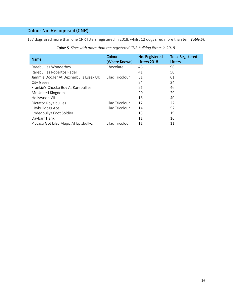157 dogs sired more than one CNR litters registered in 2018, whilst 12 dogs sired more than ten (*Table 5*).

| <b>Name</b>                            | Colour<br>(Where Known) | No. Registered<br>Litters 2018 | <b>Total Registered</b><br>Litters |
|----------------------------------------|-------------------------|--------------------------------|------------------------------------|
| Rarebullies Wonderboy                  | Chocolate               | 46                             | 96                                 |
| Rarebullies Robertos Rader             |                         | 41                             | 50                                 |
| Jammie Dodger At Dezinerbullz Essex UK | Lilac Tricolour         | 31                             | 61                                 |
| City Geezer                            |                         | 24                             | 34                                 |
| Frankie's Chocko Boy At Rarebullies    |                         | 21                             | 46                                 |
| Mr United Kingdom                      |                         | 20                             | 29                                 |
| Hollywood VII                          |                         | 18                             | 40                                 |
| Dictator Royalbullies                  | Lilac Tricolour         | 17                             | 22                                 |
| Citybulldogs Ace                       | Lilac Tricolour         | 14                             | 52                                 |
| Codedbullyz Foot Soldier               |                         | 13                             | 19                                 |
| Davbarr Hank                           |                         | 11                             | 16                                 |
| Piccaso Got Lilac Magic At Epizbullyz  | Lilac Tricolour         | 11                             | 11                                 |

*Table 5. Sires with more than ten registered CNR bulldog litters in 2018.*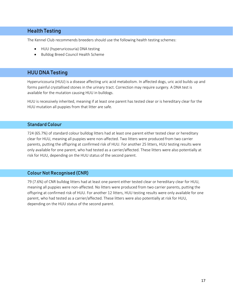#### Health Testing

The Kennel Club recommends breeders should use the following health testing schemes:

- HUU (hyperuricosuria) DNA testing
- Bulldog Breed Council Health Scheme

#### HUU DNA Testing

Hyperuricosuria (HUU) is a disease affecting uric acid metabolism. In affected dogs, uric acid builds up and forms painful crystallised stones in the urinary tract. Correction may require surgery. A DNA test is available for the mutation causing HUU in bulldogs.

HUU is recessively inherited, meaning if at least one parent has tested clear or is hereditary clear for the HUU mutation all puppies from that litter are safe.

#### Standard Colour

724 (65.7%) of standard colour bulldog litters had at least one parent either tested clear or hereditary clear for HUU, meaning all puppies were non-affected. Two litters were produced from two carrier parents, putting the offspring at confirmed risk of HUU. For another 25 litters, HUU testing results were only available for one parent, who had tested as a carrier/affected. These litters were also potentially at risk for HUU, depending on the HUU status of the second parent.

#### Colour Not Recognised (CNR)

79 (7.6%) of CNR bulldog litters had at least one parent either tested clear or hereditary clear for HUU, meaning all puppies were non-affected. No litters were produced from two carrier parents, putting the offspring at confirmed risk of HUU. For another 12 litters, HUU testing results were only available for one parent, who had tested as a carrier/affected. These litters were also potentially at risk for HUU, depending on the HUU status of the second parent.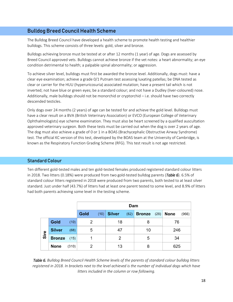#### Bulldog Breed Council Health Scheme

The Bulldog Breed Council have developed a health scheme to promote health testing and healthier bulldogs. This scheme consists of three levels: gold, silver and bronze.

Bulldogs achieving bronze must be tested at or after 12 months (1 year) of age. Dogs are assessed by Breed Council approved vets. Bulldogs cannot achieve bronze if the vet notes: a heart abnormality; an eye condition detrimental to health; a palpable spinal abnormality; or aggression.

To achieve silver level, bulldogs must first be awarded the bronze level. Additionally, dogs must: have a clear eye examination; achieve a grade 0/1 Putnam test assessing luxating patellas; be DNA tested as clear or carrier for the HUU (hyperuricosuria) associated mutation; have a present tail which is not inverted; not have blue or green eyes; be a standard colour; and not have a Dudley (liver-coloured) nose. Additionally, male bulldogs should not be monorchid or cryptorchid – i.e. should have two correctly descended testicles.

Only dogs over 24 months (2 years) of age can be tested for and achieve the gold level. Bulldogs must have a clear result on a BVA (British Veterinary Association) or EVCO (European College of Veterinary Ophthalmologists) eye scheme examination. They must also be heart screened by a qualified auscultation approved veterinary surgeon. Both these tests must be carried out when the dog is over 2 years of age. The dog must also achieve a grade of 0 or 1 in a BOAS (Brachycephalic Obstructive Airway Syndrome) test. The official KC version of this test, developed by the BOAS team at the University of Cambridge, is known as the Respiratory Function Grading Scheme (RFG). This test result is not age restricted.

#### Standard Colour

Ten different gold-tested males and ten gold-tested females produced registered standard colour litters in 2018. Two litters (0.18%) were produced from two gold-tested bulldog parents (*Table 6*). 6.5% of standard colour litters registered in 2018 were produced from two parents, both tested to at least silver standard. Just under half (43.7%) of litters had at least one parent tested to some level, and 8.9% of litters had both parents achieving some level in the testing scheme.

|      |               |       |      | Dam  |               |      |               |      |             |       |
|------|---------------|-------|------|------|---------------|------|---------------|------|-------------|-------|
|      |               |       | Gold | (10) | <b>Silver</b> | (82) | <b>Bronze</b> | (28) | <b>None</b> | (966) |
|      | Gold          | (10)  | 2    |      | 18            |      | 8             |      | 76          |       |
|      | <b>Silver</b> | (68)  | 5    |      | 47            |      | 10            |      | 246         |       |
| Sire | <b>Bronze</b> | (15)  |      |      | 2             |      | 5             |      | 34          |       |
|      | <b>None</b>   | (310) | 2    |      | 13            |      | 8             |      | 625         |       |

*Table 6. Bulldog Breed Council Health Scheme levels of the parents of standard colour bulldog litters registered in 2018. In brackets next to the level achieved is the number of individual dogs which have litters included in the column or row following.*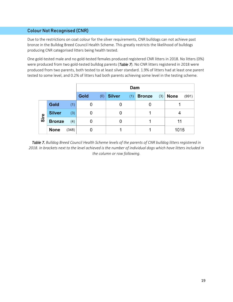Due to the restrictions on coat colour for the silver requirements, CNR bulldogs can not achieve past bronze in the Bulldog Breed Council Health Scheme. This greatly restricts the likelihood of bulldogs producing CNR categorised litters being health tested.

One gold-tested male and no gold-tested females produced registered CNR litters in 2018. No litters (0%) were produced from two gold-tested bulldog parents (*Table 7*). No CNR litters registered in 2018 were produced from two parents, both tested to at least silver standard. 1.9% of litters had at least one parent tested to some level, and 0.2% of litters had both parents achieving some level in the testing scheme.

|      |               |       | Dam         |                      |                      |                      |  |
|------|---------------|-------|-------------|----------------------|----------------------|----------------------|--|
|      |               |       | Gold<br>(0) | <b>Silver</b><br>(1) | <b>Bronze</b><br>(3) | <b>None</b><br>(991) |  |
|      | Gold          | (1)   | 0           | O                    |                      |                      |  |
|      | <b>Silver</b> | (3)   | 0           | 0                    |                      |                      |  |
| Sire | <b>Bronze</b> | (4)   |             |                      |                      | 11                   |  |
|      | <b>None</b>   | (348) |             |                      |                      | 1015                 |  |

*Table 7. Bulldog Breed Council Health Scheme levels of the parents of CNR bulldog litters registered in 2018. In brackets next to the level achieved is the number of individual dogs which have litters included in the column or row following.*